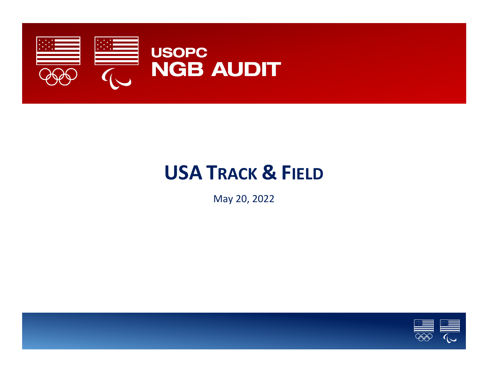

# **USA TRACK & FIELD**

May 20, 2022

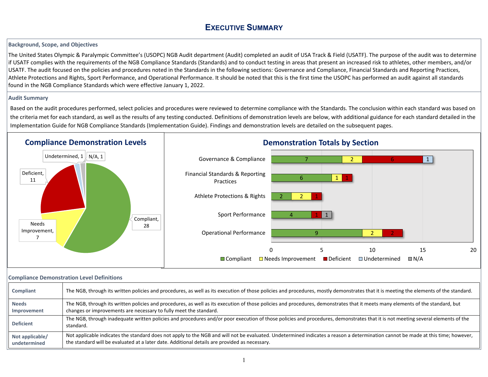## **EXECUTIVE SUMMARY**

#### **Background, Scope, and Objectives**

The United States Olympic & Paralympic Committee's (USOPC) NGB Audit department (Audit) completed an audit of USA Track & Field (USATF). The purpose of the audit was to determine if USATF complies with the requirements of the NGB Compliance Standards (Standards) and to conduct testing in areas that present an increased risk to athletes, other members, and/or USATF. The audit focused on the policies and procedures noted in the Standards in the following sections: Governance and Compliance, Financial Standards and Reporting Practices, Athlete Protections and Rights, Sport Performance, and Operational Performance. It should be noted that this is the first time the USOPC has performed an audit against all standards found in the NGB Compliance Standards which were effective January 1, 2022.

#### **Audit Summary**

Based on the audit procedures performed, select policies and procedures were reviewed to determine compliance with the Standards. The conclusion within each standard was based on the criteria met for each standard, as well as the results of any testing conducted. Definitions of demonstration levels are below, with additional guidance for each standard detailed in the Implementation Guide for NGB Compliance Standards (Implementation Guide). Findings and demonstration levels are detailed on the subsequent pages.



#### **Compliance Demonstration Level Definitions**

| Compliant        | The NGB, through its written policies and procedures, as well as its execution of those policies and procedures, mostly demonstrates that it is meeting the elements of the standard.        |
|------------------|----------------------------------------------------------------------------------------------------------------------------------------------------------------------------------------------|
| <b>Needs</b>     | The NGB, through its written policies and procedures, as well as its execution of those policies and procedures, demonstrates that it meets many elements of the standard, but               |
| Improvement      | changes or improvements are necessary to fully meet the standard.                                                                                                                            |
| <b>Deficient</b> | The NGB, through inadequate written policies and procedures and/or poor execution of those policies and procedures, demonstrates that it is not meeting several elements of the<br>standard. |
| Not applicable/  | Not applicable indicates the standard does not apply to the NGB and will not be evaluated. Undetermined indicates a reason a determination cannot be made at this time; however,             |
| undetermined     | the standard will be evaluated at a later date. Additional details are provided as necessary.                                                                                                |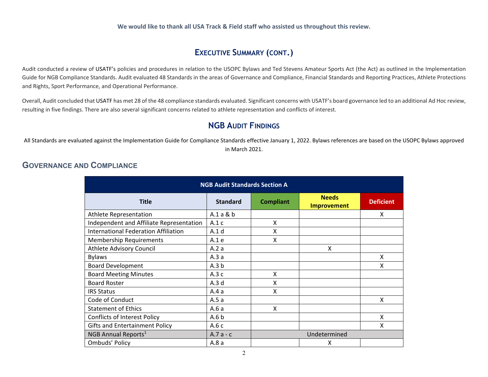#### **We would like to thank all USA Track & Field staff who assisted us throughout this review.**

## **EXECUTIVE SUMMARY (CONT.)**

<span id="page-2-0"></span>Audit conducted a review of USATF's policies and procedures in relation to the USOPC Bylaws and Ted Stevens Amateur Sports Act (the Act) as outlined in the Implementation Guide for NGB Compliance Standards. Audit evaluated 48 Standards in the areas of Governance and Compliance, Financial Standards and Reporting Practices, Athlete Protections and Rights, Sport Performance, and Operational Performance.

Overall, Audit concluded that USATF has met 28 of the 48 compliance standards evaluated. Significant concerns with USATF's board governance led to an additional Ad Hoc review, resulting in five findings. There are also several significant concerns related to athlete representation and conflicts of interest.

### **NGB AUDIT FINDINGS**

All Standards are evaluated against the Implementation Guide for Compliance Standards effective January 1, 2022. Bylaws references are based on the USOPC Bylaws approved in March 2021.

## **GOVERNANCE AND COMPLIANCE**

| <b>NGB Audit Standards Section A</b>        |                  |                  |                                    |                  |  |
|---------------------------------------------|------------------|------------------|------------------------------------|------------------|--|
| <b>Title</b>                                | <b>Standard</b>  | <b>Compliant</b> | <b>Needs</b><br><b>Improvement</b> | <b>Deficient</b> |  |
| Athlete Representation                      | A.1a & b         |                  |                                    | X                |  |
| Independent and Affiliate Representation    | A.1c             | X                |                                    |                  |  |
| <b>International Federation Affiliation</b> | A.1d             | X                |                                    |                  |  |
| <b>Membership Requirements</b>              | A.1 e            | X                |                                    |                  |  |
| <b>Athlete Advisory Council</b>             | A.2a             |                  | X                                  |                  |  |
| <b>Bylaws</b>                               | A.3 a            |                  |                                    | X                |  |
| <b>Board Development</b>                    | A.3 b            |                  |                                    | X                |  |
| <b>Board Meeting Minutes</b>                | A.3c             | X                |                                    |                  |  |
| <b>Board Roster</b>                         | A.3d             | X                |                                    |                  |  |
| <b>IRS Status</b>                           | A.4a             | x                |                                    |                  |  |
| Code of Conduct                             | A.5 a            |                  |                                    | X                |  |
| <b>Statement of Ethics</b>                  | A.6a             | X                |                                    |                  |  |
| <b>Conflicts of Interest Policy</b>         | A.6 <sub>b</sub> |                  |                                    | X                |  |
| <b>Gifts and Entertainment Policy</b>       | A.6 c            |                  |                                    | X                |  |
| NGB Annual Reports <sup>1</sup>             | $A.7a - c$       |                  | Undetermined                       |                  |  |
| Ombuds' Policy                              | A.8 a            |                  | X                                  |                  |  |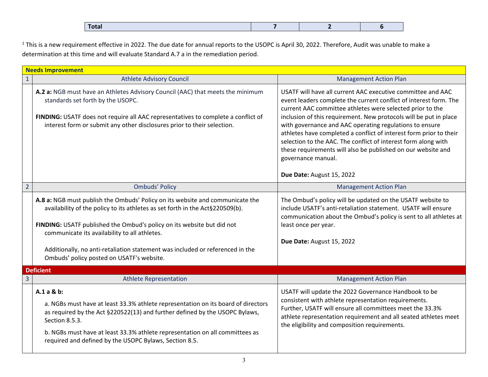|  | Total |
|--|-------|
|--|-------|

<span id="page-3-0"></span> $1$  This is a new requirement effective in 2022. The due date for annual reports to the USOPC is April 30, 2022. Therefore, Audit was unable to make a determination at this time and will evaluate Standard A.7 a in the remediation period.

|                | <b>Needs Improvement</b>                                                                                                                                                                                                                                                                                                                                                                                                |                                                                                                                                                                                                                                                                                                                                                                                                                                                                                                                                                                                          |  |  |  |
|----------------|-------------------------------------------------------------------------------------------------------------------------------------------------------------------------------------------------------------------------------------------------------------------------------------------------------------------------------------------------------------------------------------------------------------------------|------------------------------------------------------------------------------------------------------------------------------------------------------------------------------------------------------------------------------------------------------------------------------------------------------------------------------------------------------------------------------------------------------------------------------------------------------------------------------------------------------------------------------------------------------------------------------------------|--|--|--|
| $\mathbf{1}$   | <b>Athlete Advisory Council</b>                                                                                                                                                                                                                                                                                                                                                                                         | <b>Management Action Plan</b>                                                                                                                                                                                                                                                                                                                                                                                                                                                                                                                                                            |  |  |  |
|                | A.2 a: NGB must have an Athletes Advisory Council (AAC) that meets the minimum<br>standards set forth by the USOPC.<br>FINDING: USATF does not require all AAC representatives to complete a conflict of<br>interest form or submit any other disclosures prior to their selection.                                                                                                                                     | USATF will have all current AAC executive committee and AAC<br>event leaders complete the current conflict of interest form. The<br>current AAC committee athletes were selected prior to the<br>inclusion of this requirement. New protocols will be put in place<br>with governance and AAC operating regulations to ensure<br>athletes have completed a conflict of interest form prior to their<br>selection to the AAC. The conflict of interest form along with<br>these requirements will also be published on our website and<br>governance manual.<br>Due Date: August 15, 2022 |  |  |  |
| $\overline{2}$ | <b>Ombuds' Policy</b>                                                                                                                                                                                                                                                                                                                                                                                                   | <b>Management Action Plan</b>                                                                                                                                                                                                                                                                                                                                                                                                                                                                                                                                                            |  |  |  |
|                | A.8 a: NGB must publish the Ombuds' Policy on its website and communicate the<br>availability of the policy to its athletes as set forth in the Act§220509(b).<br>FINDING: USATF published the Ombud's policy on its website but did not<br>communicate its availability to all athletes.<br>Additionally, no anti-retaliation statement was included or referenced in the<br>Ombuds' policy posted on USATF's website. | The Ombud's policy will be updated on the USATF website to<br>include USATF's anti-retaliation statement. USATF will ensure<br>communication about the Ombud's policy is sent to all athletes at<br>least once per year.<br>Due Date: August 15, 2022                                                                                                                                                                                                                                                                                                                                    |  |  |  |
|                | <b>Deficient</b>                                                                                                                                                                                                                                                                                                                                                                                                        |                                                                                                                                                                                                                                                                                                                                                                                                                                                                                                                                                                                          |  |  |  |
| $\overline{3}$ | <b>Athlete Representation</b>                                                                                                                                                                                                                                                                                                                                                                                           | <b>Management Action Plan</b>                                                                                                                                                                                                                                                                                                                                                                                                                                                                                                                                                            |  |  |  |
|                | $A.1a & b$ :<br>a. NGBs must have at least 33.3% athlete representation on its board of directors<br>as required by the Act §220522(13) and further defined by the USOPC Bylaws,<br>Section 8.5.3.<br>b. NGBs must have at least 33.3% athlete representation on all committees as<br>required and defined by the USOPC Bylaws, Section 8.5.                                                                            | USATF will update the 2022 Governance Handbook to be<br>consistent with athlete representation requirements.<br>Further, USATF will ensure all committees meet the 33.3%<br>athlete representation requirement and all seated athletes meet<br>the eligibility and composition requirements.                                                                                                                                                                                                                                                                                             |  |  |  |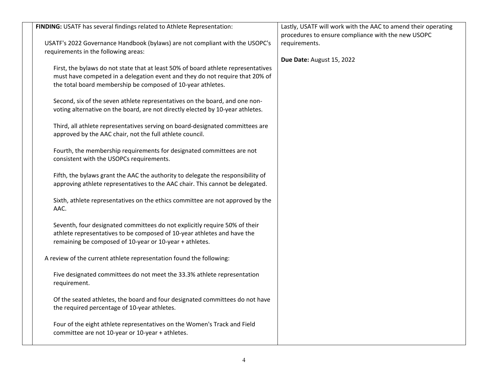| procedures to ensure compliance with the new USOPC<br>USATF's 2022 Governance Handbook (bylaws) are not compliant with the USOPC's<br>requirements.<br>requirements in the following areas:<br>Due Date: August 15, 2022<br>First, the bylaws do not state that at least 50% of board athlete representatives<br>must have competed in a delegation event and they do not require that 20% of<br>the total board membership be composed of 10-year athletes.<br>Second, six of the seven athlete representatives on the board, and one non-<br>voting alternative on the board, are not directly elected by 10-year athletes.<br>Third, all athlete representatives serving on board-designated committees are<br>approved by the AAC chair, not the full athlete council.<br>Fourth, the membership requirements for designated committees are not<br>consistent with the USOPCs requirements.<br>Fifth, the bylaws grant the AAC the authority to delegate the responsibility of<br>approving athlete representatives to the AAC chair. This cannot be delegated.<br>Sixth, athlete representatives on the ethics committee are not approved by the<br>AAC.<br>Seventh, four designated committees do not explicitly require 50% of their<br>athlete representatives to be composed of 10-year athletes and have the<br>remaining be composed of 10-year or 10-year + athletes.<br>A review of the current athlete representation found the following:<br>Five designated committees do not meet the 33.3% athlete representation<br>requirement.<br>Of the seated athletes, the board and four designated committees do not have<br>the required percentage of 10-year athletes.<br>Four of the eight athlete representatives on the Women's Track and Field<br>committee are not 10-year or 10-year + athletes. |                                                                        |                                                               |
|---------------------------------------------------------------------------------------------------------------------------------------------------------------------------------------------------------------------------------------------------------------------------------------------------------------------------------------------------------------------------------------------------------------------------------------------------------------------------------------------------------------------------------------------------------------------------------------------------------------------------------------------------------------------------------------------------------------------------------------------------------------------------------------------------------------------------------------------------------------------------------------------------------------------------------------------------------------------------------------------------------------------------------------------------------------------------------------------------------------------------------------------------------------------------------------------------------------------------------------------------------------------------------------------------------------------------------------------------------------------------------------------------------------------------------------------------------------------------------------------------------------------------------------------------------------------------------------------------------------------------------------------------------------------------------------------------------------------------------------------------------------------------------------------------------------------|------------------------------------------------------------------------|---------------------------------------------------------------|
|                                                                                                                                                                                                                                                                                                                                                                                                                                                                                                                                                                                                                                                                                                                                                                                                                                                                                                                                                                                                                                                                                                                                                                                                                                                                                                                                                                                                                                                                                                                                                                                                                                                                                                                                                                                                                     | FINDING: USATF has several findings related to Athlete Representation: | Lastly, USATF will work with the AAC to amend their operating |
|                                                                                                                                                                                                                                                                                                                                                                                                                                                                                                                                                                                                                                                                                                                                                                                                                                                                                                                                                                                                                                                                                                                                                                                                                                                                                                                                                                                                                                                                                                                                                                                                                                                                                                                                                                                                                     |                                                                        |                                                               |
|                                                                                                                                                                                                                                                                                                                                                                                                                                                                                                                                                                                                                                                                                                                                                                                                                                                                                                                                                                                                                                                                                                                                                                                                                                                                                                                                                                                                                                                                                                                                                                                                                                                                                                                                                                                                                     |                                                                        |                                                               |
|                                                                                                                                                                                                                                                                                                                                                                                                                                                                                                                                                                                                                                                                                                                                                                                                                                                                                                                                                                                                                                                                                                                                                                                                                                                                                                                                                                                                                                                                                                                                                                                                                                                                                                                                                                                                                     |                                                                        |                                                               |
|                                                                                                                                                                                                                                                                                                                                                                                                                                                                                                                                                                                                                                                                                                                                                                                                                                                                                                                                                                                                                                                                                                                                                                                                                                                                                                                                                                                                                                                                                                                                                                                                                                                                                                                                                                                                                     |                                                                        |                                                               |
|                                                                                                                                                                                                                                                                                                                                                                                                                                                                                                                                                                                                                                                                                                                                                                                                                                                                                                                                                                                                                                                                                                                                                                                                                                                                                                                                                                                                                                                                                                                                                                                                                                                                                                                                                                                                                     |                                                                        |                                                               |
|                                                                                                                                                                                                                                                                                                                                                                                                                                                                                                                                                                                                                                                                                                                                                                                                                                                                                                                                                                                                                                                                                                                                                                                                                                                                                                                                                                                                                                                                                                                                                                                                                                                                                                                                                                                                                     |                                                                        |                                                               |
|                                                                                                                                                                                                                                                                                                                                                                                                                                                                                                                                                                                                                                                                                                                                                                                                                                                                                                                                                                                                                                                                                                                                                                                                                                                                                                                                                                                                                                                                                                                                                                                                                                                                                                                                                                                                                     |                                                                        |                                                               |
|                                                                                                                                                                                                                                                                                                                                                                                                                                                                                                                                                                                                                                                                                                                                                                                                                                                                                                                                                                                                                                                                                                                                                                                                                                                                                                                                                                                                                                                                                                                                                                                                                                                                                                                                                                                                                     |                                                                        |                                                               |
|                                                                                                                                                                                                                                                                                                                                                                                                                                                                                                                                                                                                                                                                                                                                                                                                                                                                                                                                                                                                                                                                                                                                                                                                                                                                                                                                                                                                                                                                                                                                                                                                                                                                                                                                                                                                                     |                                                                        |                                                               |
|                                                                                                                                                                                                                                                                                                                                                                                                                                                                                                                                                                                                                                                                                                                                                                                                                                                                                                                                                                                                                                                                                                                                                                                                                                                                                                                                                                                                                                                                                                                                                                                                                                                                                                                                                                                                                     |                                                                        |                                                               |
|                                                                                                                                                                                                                                                                                                                                                                                                                                                                                                                                                                                                                                                                                                                                                                                                                                                                                                                                                                                                                                                                                                                                                                                                                                                                                                                                                                                                                                                                                                                                                                                                                                                                                                                                                                                                                     |                                                                        |                                                               |
|                                                                                                                                                                                                                                                                                                                                                                                                                                                                                                                                                                                                                                                                                                                                                                                                                                                                                                                                                                                                                                                                                                                                                                                                                                                                                                                                                                                                                                                                                                                                                                                                                                                                                                                                                                                                                     |                                                                        |                                                               |
|                                                                                                                                                                                                                                                                                                                                                                                                                                                                                                                                                                                                                                                                                                                                                                                                                                                                                                                                                                                                                                                                                                                                                                                                                                                                                                                                                                                                                                                                                                                                                                                                                                                                                                                                                                                                                     |                                                                        |                                                               |
|                                                                                                                                                                                                                                                                                                                                                                                                                                                                                                                                                                                                                                                                                                                                                                                                                                                                                                                                                                                                                                                                                                                                                                                                                                                                                                                                                                                                                                                                                                                                                                                                                                                                                                                                                                                                                     |                                                                        |                                                               |
|                                                                                                                                                                                                                                                                                                                                                                                                                                                                                                                                                                                                                                                                                                                                                                                                                                                                                                                                                                                                                                                                                                                                                                                                                                                                                                                                                                                                                                                                                                                                                                                                                                                                                                                                                                                                                     |                                                                        |                                                               |
|                                                                                                                                                                                                                                                                                                                                                                                                                                                                                                                                                                                                                                                                                                                                                                                                                                                                                                                                                                                                                                                                                                                                                                                                                                                                                                                                                                                                                                                                                                                                                                                                                                                                                                                                                                                                                     |                                                                        |                                                               |
|                                                                                                                                                                                                                                                                                                                                                                                                                                                                                                                                                                                                                                                                                                                                                                                                                                                                                                                                                                                                                                                                                                                                                                                                                                                                                                                                                                                                                                                                                                                                                                                                                                                                                                                                                                                                                     |                                                                        |                                                               |
|                                                                                                                                                                                                                                                                                                                                                                                                                                                                                                                                                                                                                                                                                                                                                                                                                                                                                                                                                                                                                                                                                                                                                                                                                                                                                                                                                                                                                                                                                                                                                                                                                                                                                                                                                                                                                     |                                                                        |                                                               |
|                                                                                                                                                                                                                                                                                                                                                                                                                                                                                                                                                                                                                                                                                                                                                                                                                                                                                                                                                                                                                                                                                                                                                                                                                                                                                                                                                                                                                                                                                                                                                                                                                                                                                                                                                                                                                     |                                                                        |                                                               |
|                                                                                                                                                                                                                                                                                                                                                                                                                                                                                                                                                                                                                                                                                                                                                                                                                                                                                                                                                                                                                                                                                                                                                                                                                                                                                                                                                                                                                                                                                                                                                                                                                                                                                                                                                                                                                     |                                                                        |                                                               |
|                                                                                                                                                                                                                                                                                                                                                                                                                                                                                                                                                                                                                                                                                                                                                                                                                                                                                                                                                                                                                                                                                                                                                                                                                                                                                                                                                                                                                                                                                                                                                                                                                                                                                                                                                                                                                     |                                                                        |                                                               |
|                                                                                                                                                                                                                                                                                                                                                                                                                                                                                                                                                                                                                                                                                                                                                                                                                                                                                                                                                                                                                                                                                                                                                                                                                                                                                                                                                                                                                                                                                                                                                                                                                                                                                                                                                                                                                     |                                                                        |                                                               |
|                                                                                                                                                                                                                                                                                                                                                                                                                                                                                                                                                                                                                                                                                                                                                                                                                                                                                                                                                                                                                                                                                                                                                                                                                                                                                                                                                                                                                                                                                                                                                                                                                                                                                                                                                                                                                     |                                                                        |                                                               |
|                                                                                                                                                                                                                                                                                                                                                                                                                                                                                                                                                                                                                                                                                                                                                                                                                                                                                                                                                                                                                                                                                                                                                                                                                                                                                                                                                                                                                                                                                                                                                                                                                                                                                                                                                                                                                     |                                                                        |                                                               |
|                                                                                                                                                                                                                                                                                                                                                                                                                                                                                                                                                                                                                                                                                                                                                                                                                                                                                                                                                                                                                                                                                                                                                                                                                                                                                                                                                                                                                                                                                                                                                                                                                                                                                                                                                                                                                     |                                                                        |                                                               |
|                                                                                                                                                                                                                                                                                                                                                                                                                                                                                                                                                                                                                                                                                                                                                                                                                                                                                                                                                                                                                                                                                                                                                                                                                                                                                                                                                                                                                                                                                                                                                                                                                                                                                                                                                                                                                     |                                                                        |                                                               |
|                                                                                                                                                                                                                                                                                                                                                                                                                                                                                                                                                                                                                                                                                                                                                                                                                                                                                                                                                                                                                                                                                                                                                                                                                                                                                                                                                                                                                                                                                                                                                                                                                                                                                                                                                                                                                     |                                                                        |                                                               |
|                                                                                                                                                                                                                                                                                                                                                                                                                                                                                                                                                                                                                                                                                                                                                                                                                                                                                                                                                                                                                                                                                                                                                                                                                                                                                                                                                                                                                                                                                                                                                                                                                                                                                                                                                                                                                     |                                                                        |                                                               |
|                                                                                                                                                                                                                                                                                                                                                                                                                                                                                                                                                                                                                                                                                                                                                                                                                                                                                                                                                                                                                                                                                                                                                                                                                                                                                                                                                                                                                                                                                                                                                                                                                                                                                                                                                                                                                     |                                                                        |                                                               |
|                                                                                                                                                                                                                                                                                                                                                                                                                                                                                                                                                                                                                                                                                                                                                                                                                                                                                                                                                                                                                                                                                                                                                                                                                                                                                                                                                                                                                                                                                                                                                                                                                                                                                                                                                                                                                     |                                                                        |                                                               |
|                                                                                                                                                                                                                                                                                                                                                                                                                                                                                                                                                                                                                                                                                                                                                                                                                                                                                                                                                                                                                                                                                                                                                                                                                                                                                                                                                                                                                                                                                                                                                                                                                                                                                                                                                                                                                     |                                                                        |                                                               |
|                                                                                                                                                                                                                                                                                                                                                                                                                                                                                                                                                                                                                                                                                                                                                                                                                                                                                                                                                                                                                                                                                                                                                                                                                                                                                                                                                                                                                                                                                                                                                                                                                                                                                                                                                                                                                     |                                                                        |                                                               |
|                                                                                                                                                                                                                                                                                                                                                                                                                                                                                                                                                                                                                                                                                                                                                                                                                                                                                                                                                                                                                                                                                                                                                                                                                                                                                                                                                                                                                                                                                                                                                                                                                                                                                                                                                                                                                     |                                                                        |                                                               |
|                                                                                                                                                                                                                                                                                                                                                                                                                                                                                                                                                                                                                                                                                                                                                                                                                                                                                                                                                                                                                                                                                                                                                                                                                                                                                                                                                                                                                                                                                                                                                                                                                                                                                                                                                                                                                     |                                                                        |                                                               |
|                                                                                                                                                                                                                                                                                                                                                                                                                                                                                                                                                                                                                                                                                                                                                                                                                                                                                                                                                                                                                                                                                                                                                                                                                                                                                                                                                                                                                                                                                                                                                                                                                                                                                                                                                                                                                     |                                                                        |                                                               |
|                                                                                                                                                                                                                                                                                                                                                                                                                                                                                                                                                                                                                                                                                                                                                                                                                                                                                                                                                                                                                                                                                                                                                                                                                                                                                                                                                                                                                                                                                                                                                                                                                                                                                                                                                                                                                     |                                                                        |                                                               |
|                                                                                                                                                                                                                                                                                                                                                                                                                                                                                                                                                                                                                                                                                                                                                                                                                                                                                                                                                                                                                                                                                                                                                                                                                                                                                                                                                                                                                                                                                                                                                                                                                                                                                                                                                                                                                     |                                                                        |                                                               |
|                                                                                                                                                                                                                                                                                                                                                                                                                                                                                                                                                                                                                                                                                                                                                                                                                                                                                                                                                                                                                                                                                                                                                                                                                                                                                                                                                                                                                                                                                                                                                                                                                                                                                                                                                                                                                     |                                                                        |                                                               |
|                                                                                                                                                                                                                                                                                                                                                                                                                                                                                                                                                                                                                                                                                                                                                                                                                                                                                                                                                                                                                                                                                                                                                                                                                                                                                                                                                                                                                                                                                                                                                                                                                                                                                                                                                                                                                     |                                                                        |                                                               |
|                                                                                                                                                                                                                                                                                                                                                                                                                                                                                                                                                                                                                                                                                                                                                                                                                                                                                                                                                                                                                                                                                                                                                                                                                                                                                                                                                                                                                                                                                                                                                                                                                                                                                                                                                                                                                     |                                                                        |                                                               |
|                                                                                                                                                                                                                                                                                                                                                                                                                                                                                                                                                                                                                                                                                                                                                                                                                                                                                                                                                                                                                                                                                                                                                                                                                                                                                                                                                                                                                                                                                                                                                                                                                                                                                                                                                                                                                     |                                                                        |                                                               |
|                                                                                                                                                                                                                                                                                                                                                                                                                                                                                                                                                                                                                                                                                                                                                                                                                                                                                                                                                                                                                                                                                                                                                                                                                                                                                                                                                                                                                                                                                                                                                                                                                                                                                                                                                                                                                     |                                                                        |                                                               |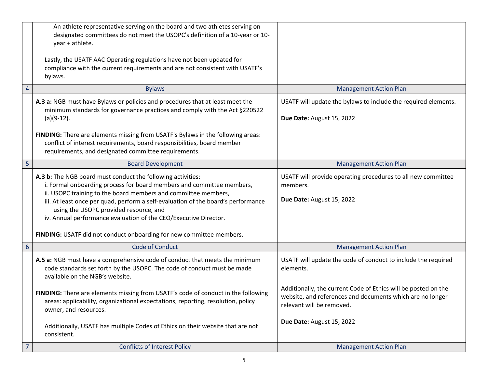|                | An athlete representative serving on the board and two athletes serving on<br>designated committees do not meet the USOPC's definition of a 10-year or 10-<br>year + athlete.<br>Lastly, the USATF AAC Operating regulations have not been updated for<br>compliance with the current requirements and are not consistent with USATF's<br>bylaws.                                                                                                                                 |                                                                                                                                                          |
|----------------|-----------------------------------------------------------------------------------------------------------------------------------------------------------------------------------------------------------------------------------------------------------------------------------------------------------------------------------------------------------------------------------------------------------------------------------------------------------------------------------|----------------------------------------------------------------------------------------------------------------------------------------------------------|
| $\overline{4}$ | <b>Bylaws</b>                                                                                                                                                                                                                                                                                                                                                                                                                                                                     | <b>Management Action Plan</b>                                                                                                                            |
|                | A.3 a: NGB must have Bylaws or policies and procedures that at least meet the<br>minimum standards for governance practices and comply with the Act §220522<br>$(a)(9-12).$<br>FINDING: There are elements missing from USATF's Bylaws in the following areas:<br>conflict of interest requirements, board responsibilities, board member<br>requirements, and designated committee requirements.                                                                                 | USATF will update the bylaws to include the required elements.<br>Due Date: August 15, 2022                                                              |
| 5              | <b>Board Development</b>                                                                                                                                                                                                                                                                                                                                                                                                                                                          | <b>Management Action Plan</b>                                                                                                                            |
|                | A.3 b: The NGB board must conduct the following activities:<br>i. Formal onboarding process for board members and committee members,<br>ii. USOPC training to the board members and committee members,<br>iii. At least once per quad, perform a self-evaluation of the board's performance<br>using the USOPC provided resource, and<br>iv. Annual performance evaluation of the CEO/Executive Director.<br>FINDING: USATF did not conduct onboarding for new committee members. | USATF will provide operating procedures to all new committee<br>members.<br>Due Date: August 15, 2022                                                    |
| $6\,$          | <b>Code of Conduct</b>                                                                                                                                                                                                                                                                                                                                                                                                                                                            | <b>Management Action Plan</b>                                                                                                                            |
|                | A.5 a: NGB must have a comprehensive code of conduct that meets the minimum<br>code standards set forth by the USOPC. The code of conduct must be made<br>available on the NGB's website.                                                                                                                                                                                                                                                                                         | USATF will update the code of conduct to include the required<br>elements.                                                                               |
|                | FINDING: There are elements missing from USATF's code of conduct in the following<br>areas: applicability, organizational expectations, reporting, resolution, policy<br>owner, and resources.                                                                                                                                                                                                                                                                                    | Additionally, the current Code of Ethics will be posted on the<br>website, and references and documents which are no longer<br>relevant will be removed. |
|                | Additionally, USATF has multiple Codes of Ethics on their website that are not<br>consistent.                                                                                                                                                                                                                                                                                                                                                                                     | Due Date: August 15, 2022                                                                                                                                |
| $\overline{7}$ | <b>Conflicts of Interest Policy</b>                                                                                                                                                                                                                                                                                                                                                                                                                                               | <b>Management Action Plan</b>                                                                                                                            |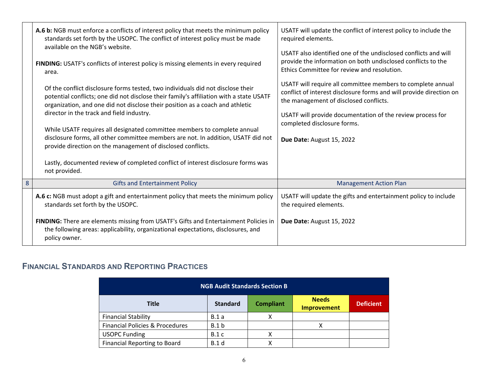|   | A.6 b: NGB must enforce a conflicts of interest policy that meets the minimum policy<br>standards set forth by the USOPC. The conflict of interest policy must be made<br>available on the NGB's website.                                                                                                | USATF will update the conflict of interest policy to include the<br>required elements.                                                                                                                                                     |
|---|----------------------------------------------------------------------------------------------------------------------------------------------------------------------------------------------------------------------------------------------------------------------------------------------------------|--------------------------------------------------------------------------------------------------------------------------------------------------------------------------------------------------------------------------------------------|
|   | FINDING: USATF's conflicts of interest policy is missing elements in every required<br>area.                                                                                                                                                                                                             | USATF also identified one of the undisclosed conflicts and will<br>provide the information on both undisclosed conflicts to the<br>Ethics Committee for review and resolution.                                                             |
|   | Of the conflict disclosure forms tested, two individuals did not disclose their<br>potential conflicts; one did not disclose their family's affiliation with a state USATF<br>organization, and one did not disclose their position as a coach and athletic<br>director in the track and field industry. | USATF will require all committee members to complete annual<br>conflict of interest disclosure forms and will provide direction on<br>the management of disclosed conflicts.<br>USATF will provide documentation of the review process for |
|   | While USATF requires all designated committee members to complete annual<br>disclosure forms, all other committee members are not. In addition, USATF did not<br>provide direction on the management of disclosed conflicts.                                                                             | completed disclosure forms.<br>Due Date: August 15, 2022                                                                                                                                                                                   |
|   | Lastly, documented review of completed conflict of interest disclosure forms was<br>not provided.                                                                                                                                                                                                        |                                                                                                                                                                                                                                            |
| 8 | <b>Gifts and Entertainment Policy</b>                                                                                                                                                                                                                                                                    | <b>Management Action Plan</b>                                                                                                                                                                                                              |
|   | A.6 c: NGB must adopt a gift and entertainment policy that meets the minimum policy<br>standards set forth by the USOPC.                                                                                                                                                                                 | USATF will update the gifts and entertainment policy to include<br>the required elements.                                                                                                                                                  |
|   | FINDING: There are elements missing from USATF's Gifts and Entertainment Policies in<br>the following areas: applicability, organizational expectations, disclosures, and<br>policy owner.                                                                                                               | Due Date: August 15, 2022                                                                                                                                                                                                                  |

# **FINANCIAL STANDARDS AND REPORTING PRACTICES**

| <b>NGB Audit Standards Section B</b>       |                 |                  |                                    |                  |
|--------------------------------------------|-----------------|------------------|------------------------------------|------------------|
| <b>Title</b>                               | <b>Standard</b> | <b>Compliant</b> | <b>Needs</b><br><b>Improvement</b> | <b>Deficient</b> |
| <b>Financial Stability</b>                 | B.1a            |                  |                                    |                  |
| <b>Financial Policies &amp; Procedures</b> | B.1 b           |                  |                                    |                  |
| <b>USOPC Funding</b>                       | B.1c            | х                |                                    |                  |
| <b>Financial Reporting to Board</b>        | <b>B.1</b> d    |                  |                                    |                  |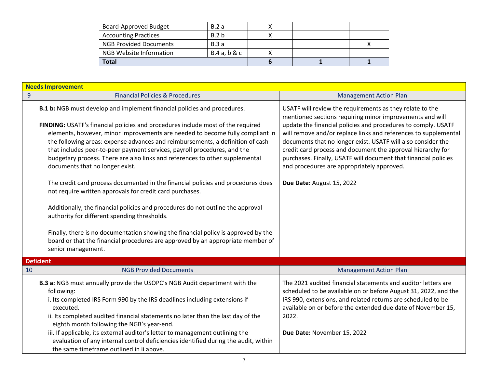| <b>Board-Approved Budget</b>  | B.2a        |  |  |
|-------------------------------|-------------|--|--|
| <b>Accounting Practices</b>   | B.2 b       |  |  |
| <b>NGB Provided Documents</b> | B.3a        |  |  |
| NGB Website Information       | B.4a, b & c |  |  |
| <b>Total</b>                  |             |  |  |

|    | <b>Needs Improvement</b>                                                                                                                                                                                                                                                                                                                                                                                                                                                                                                                                                                                                                                                                                                                                                                                                                                                                                                                                                                                        |                                                                                                                                                                                                                                                                                                                                                                                                                                                                                                                                       |  |  |  |
|----|-----------------------------------------------------------------------------------------------------------------------------------------------------------------------------------------------------------------------------------------------------------------------------------------------------------------------------------------------------------------------------------------------------------------------------------------------------------------------------------------------------------------------------------------------------------------------------------------------------------------------------------------------------------------------------------------------------------------------------------------------------------------------------------------------------------------------------------------------------------------------------------------------------------------------------------------------------------------------------------------------------------------|---------------------------------------------------------------------------------------------------------------------------------------------------------------------------------------------------------------------------------------------------------------------------------------------------------------------------------------------------------------------------------------------------------------------------------------------------------------------------------------------------------------------------------------|--|--|--|
| 9  | <b>Financial Policies &amp; Procedures</b>                                                                                                                                                                                                                                                                                                                                                                                                                                                                                                                                                                                                                                                                                                                                                                                                                                                                                                                                                                      | <b>Management Action Plan</b>                                                                                                                                                                                                                                                                                                                                                                                                                                                                                                         |  |  |  |
|    | B.1 b: NGB must develop and implement financial policies and procedures.<br>FINDING: USATF's financial policies and procedures include most of the required<br>elements, however, minor improvements are needed to become fully compliant in<br>the following areas: expense advances and reimbursements, a definition of cash<br>that includes peer-to-peer payment services, payroll procedures, and the<br>budgetary process. There are also links and references to other supplemental<br>documents that no longer exist.<br>The credit card process documented in the financial policies and procedures does<br>not require written approvals for credit card purchases.<br>Additionally, the financial policies and procedures do not outline the approval<br>authority for different spending thresholds.<br>Finally, there is no documentation showing the financial policy is approved by the<br>board or that the financial procedures are approved by an appropriate member of<br>senior management. | USATF will review the requirements as they relate to the<br>mentioned sections requiring minor improvements and will<br>update the financial policies and procedures to comply. USATF<br>will remove and/or replace links and references to supplemental<br>documents that no longer exist. USATF will also consider the<br>credit card process and document the approval hierarchy for<br>purchases. Finally, USATF will document that financial policies<br>and procedures are appropriately approved.<br>Due Date: August 15, 2022 |  |  |  |
|    | <b>Deficient</b>                                                                                                                                                                                                                                                                                                                                                                                                                                                                                                                                                                                                                                                                                                                                                                                                                                                                                                                                                                                                |                                                                                                                                                                                                                                                                                                                                                                                                                                                                                                                                       |  |  |  |
| 10 | <b>NGB Provided Documents</b>                                                                                                                                                                                                                                                                                                                                                                                                                                                                                                                                                                                                                                                                                                                                                                                                                                                                                                                                                                                   | <b>Management Action Plan</b>                                                                                                                                                                                                                                                                                                                                                                                                                                                                                                         |  |  |  |
|    | B.3 a: NGB must annually provide the USOPC's NGB Audit department with the<br>following:<br>i. Its completed IRS Form 990 by the IRS deadlines including extensions if<br>executed.<br>ii. Its completed audited financial statements no later than the last day of the<br>eighth month following the NGB's year-end.<br>iii. If applicable, its external auditor's letter to management outlining the<br>evaluation of any internal control deficiencies identified during the audit, within<br>the same timeframe outlined in ii above.                                                                                                                                                                                                                                                                                                                                                                                                                                                                       | The 2021 audited financial statements and auditor letters are<br>scheduled to be available on or before August 31, 2022, and the<br>IRS 990, extensions, and related returns are scheduled to be<br>available on or before the extended due date of November 15,<br>2022.<br>Due Date: November 15, 2022                                                                                                                                                                                                                              |  |  |  |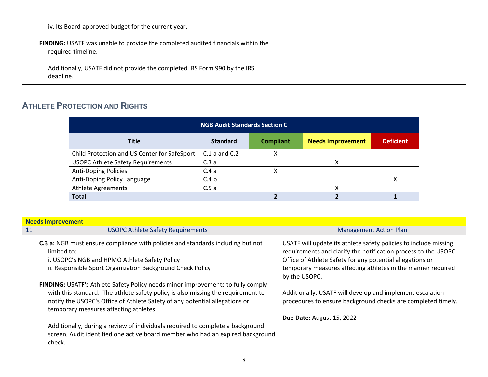| iv. Its Board-approved budget for the current year.                                                    |  |
|--------------------------------------------------------------------------------------------------------|--|
| FINDING: USATF was unable to provide the completed audited financials within the<br>required timeline. |  |
| Additionally, USATF did not provide the completed IRS Form 990 by the IRS<br>deadline.                 |  |

# **ATHLETE PROTECTION AND RIGHTS**

| <b>NGB Audit Standards Section C</b>         |                   |                  |                          |                  |
|----------------------------------------------|-------------------|------------------|--------------------------|------------------|
| <b>Title</b>                                 | <b>Standard</b>   | <b>Compliant</b> | <b>Needs Improvement</b> | <b>Deficient</b> |
| Child Protection and US Center for SafeSport | $C.1$ a and $C.2$ | χ                |                          |                  |
| <b>USOPC Athlete Safety Requirements</b>     | C.3a              |                  |                          |                  |
| <b>Anti-Doping Policies</b>                  | C.4a              |                  |                          |                  |
| Anti-Doping Policy Language                  | C.4 <sub>b</sub>  |                  |                          |                  |
| <b>Athlete Agreements</b>                    | C.5a              |                  |                          |                  |
| <b>Total</b>                                 |                   |                  |                          |                  |

|    | <b>Needs Improvement</b>                                                                                                                                                                                                                                                                     |                                                                                                                                                                                                                                                                                  |  |
|----|----------------------------------------------------------------------------------------------------------------------------------------------------------------------------------------------------------------------------------------------------------------------------------------------|----------------------------------------------------------------------------------------------------------------------------------------------------------------------------------------------------------------------------------------------------------------------------------|--|
| 11 | <b>USOPC Athlete Safety Requirements</b>                                                                                                                                                                                                                                                     | <b>Management Action Plan</b>                                                                                                                                                                                                                                                    |  |
|    | C.3 a: NGB must ensure compliance with policies and standards including but not<br>limited to:<br>i. USOPC's NGB and HPMO Athlete Safety Policy<br>ii. Responsible Sport Organization Background Check Policy                                                                                | USATF will update its athlete safety policies to include missing<br>requirements and clarify the notification process to the USOPC<br>Office of Athlete Safety for any potential allegations or<br>temporary measures affecting athletes in the manner required<br>by the USOPC. |  |
|    | FINDING: USATF's Athlete Safety Policy needs minor improvements to fully comply<br>with this standard. The athlete safety policy is also missing the requirement to<br>notify the USOPC's Office of Athlete Safety of any potential allegations or<br>temporary measures affecting athletes. | Additionally, USATF will develop and implement escalation<br>procedures to ensure background checks are completed timely.<br>Due Date: August 15, 2022                                                                                                                           |  |
|    | Additionally, during a review of individuals required to complete a background<br>screen, Audit identified one active board member who had an expired background<br>check.                                                                                                                   |                                                                                                                                                                                                                                                                                  |  |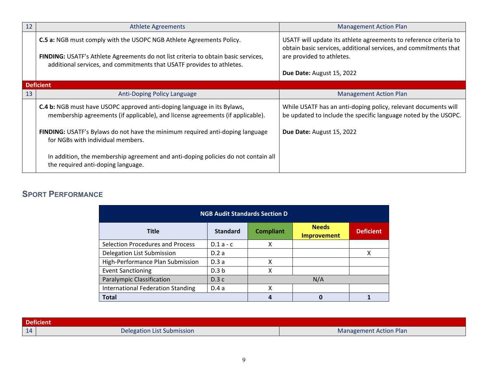| 12 | <b>Athlete Agreements</b>                                                                                                                                                                                                           | <b>Management Action Plan</b>                                                                                                                                      |
|----|-------------------------------------------------------------------------------------------------------------------------------------------------------------------------------------------------------------------------------------|--------------------------------------------------------------------------------------------------------------------------------------------------------------------|
|    | C.5 a: NGB must comply with the USOPC NGB Athlete Agreements Policy.<br>FINDING: USATF's Athlete Agreements do not list criteria to obtain basic services,<br>additional services, and commitments that USATF provides to athletes. | USATF will update its athlete agreements to reference criteria to<br>obtain basic services, additional services, and commitments that<br>are provided to athletes. |
|    |                                                                                                                                                                                                                                     | <b>Due Date: August 15, 2022</b>                                                                                                                                   |
|    | <b>Deficient</b>                                                                                                                                                                                                                    |                                                                                                                                                                    |
| 13 | Anti-Doping Policy Language                                                                                                                                                                                                         | <b>Management Action Plan</b>                                                                                                                                      |
|    | C.4 b: NGB must have USOPC approved anti-doping language in its Bylaws,<br>membership agreements (if applicable), and license agreements (if applicable).                                                                           | While USATF has an anti-doping policy, relevant documents will<br>be updated to include the specific language noted by the USOPC.                                  |
|    | FINDING: USATF's Bylaws do not have the minimum required anti-doping language<br>for NGBs with individual members.                                                                                                                  | Due Date: August 15, 2022                                                                                                                                          |
|    | In addition, the membership agreement and anti-doping policies do not contain all<br>the required anti-doping language.                                                                                                             |                                                                                                                                                                    |

# **SPORT PERFORMANCE**

| <b>NGB Audit Standards Section D</b>     |                  |                  |                                    |                  |
|------------------------------------------|------------------|------------------|------------------------------------|------------------|
| <b>Title</b>                             | <b>Standard</b>  | <b>Compliant</b> | <b>Needs</b><br><b>Improvement</b> | <b>Deficient</b> |
| <b>Selection Procedures and Process</b>  | $D.1a - c$       | x                |                                    |                  |
| Delegation List Submission               | D.2a             |                  |                                    | X                |
| High-Performance Plan Submission         | D.3a             | χ                |                                    |                  |
| <b>Event Sanctioning</b>                 | D.3 <sub>b</sub> | χ                |                                    |                  |
| <b>Paralympic Classification</b>         | D.3c             |                  | N/A                                |                  |
| <b>International Federation Standing</b> | D.4a             | χ                |                                    |                  |
| <b>Total</b>                             |                  |                  |                                    |                  |

| <b>Deficient</b> |                            |                        |
|------------------|----------------------------|------------------------|
| 14               | Delegation List Submission | Management Action Plan |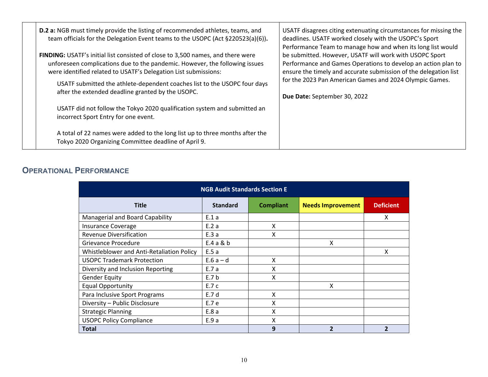| <b>D.2 a:</b> NGB must timely provide the listing of recommended athletes, teams, and<br>team officials for the Delegation Event teams to the USOPC (Act §220523(a)(6)).<br>FINDING: USATF's initial list consisted of close to 3,500 names, and there were<br>unforeseen complications due to the pandemic. However, the following issues<br>were identified related to USATF's Delegation List submissions:<br>USATF submitted the athlete-dependent coaches list to the USOPC four days<br>after the extended deadline granted by the USOPC. | USATF disagrees citing extenuating circumstances for missing the<br>deadlines. USATF worked closely with the USOPC's Sport<br>Performance Team to manage how and when its long list would<br>be submitted. However, USATF will work with USOPC Sport<br>Performance and Games Operations to develop an action plan to<br>ensure the timely and accurate submission of the delegation list<br>for the 2023 Pan American Games and 2024 Olympic Games.<br>Due Date: September 30, 2022 |
|-------------------------------------------------------------------------------------------------------------------------------------------------------------------------------------------------------------------------------------------------------------------------------------------------------------------------------------------------------------------------------------------------------------------------------------------------------------------------------------------------------------------------------------------------|--------------------------------------------------------------------------------------------------------------------------------------------------------------------------------------------------------------------------------------------------------------------------------------------------------------------------------------------------------------------------------------------------------------------------------------------------------------------------------------|
| USATF did not follow the Tokyo 2020 qualification system and submitted an<br>incorrect Sport Entry for one event.                                                                                                                                                                                                                                                                                                                                                                                                                               |                                                                                                                                                                                                                                                                                                                                                                                                                                                                                      |
| A total of 22 names were added to the long list up to three months after the<br>Tokyo 2020 Organizing Committee deadline of April 9.                                                                                                                                                                                                                                                                                                                                                                                                            |                                                                                                                                                                                                                                                                                                                                                                                                                                                                                      |

## **OPERATIONAL PERFORMANCE**

| <b>NGB Audit Standards Section E</b>      |                 |                  |                          |                  |
|-------------------------------------------|-----------------|------------------|--------------------------|------------------|
| <b>Title</b>                              | <b>Standard</b> | <b>Compliant</b> | <b>Needs Improvement</b> | <b>Deficient</b> |
| Managerial and Board Capability           | E.1a            |                  |                          | X                |
| <b>Insurance Coverage</b>                 | E.2a            | X                |                          |                  |
| <b>Revenue Diversification</b>            | E.3a            | x                |                          |                  |
| Grievance Procedure                       | E.4a & b        |                  | x                        |                  |
| Whistleblower and Anti-Retaliation Policy | E.5a            |                  |                          | X                |
| <b>USOPC Trademark Protection</b>         | $E.6a-d$        | X                |                          |                  |
| Diversity and Inclusion Reporting         | E.7 a           | x                |                          |                  |
| <b>Gender Equity</b>                      | E.7 b           | x                |                          |                  |
| <b>Equal Opportunity</b>                  | E.7 c           |                  | X                        |                  |
| Para Inclusive Sport Programs             | E.7 d           | X                |                          |                  |
| Diversity - Public Disclosure             | E.7 e           | X                |                          |                  |
| <b>Strategic Planning</b>                 | E.8a            | X                |                          |                  |
| <b>USOPC Policy Compliance</b>            | E.9 a           | x                |                          |                  |
| <b>Total</b>                              |                 | 9                |                          | $\mathbf{2}$     |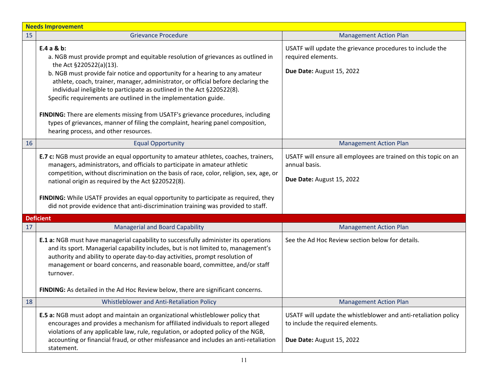|    | <b>Needs Improvement</b>                                                                                                                                                                                                                                                                                                                                                                                                                                                                                                                                                                                              |                                                                                                                                   |  |
|----|-----------------------------------------------------------------------------------------------------------------------------------------------------------------------------------------------------------------------------------------------------------------------------------------------------------------------------------------------------------------------------------------------------------------------------------------------------------------------------------------------------------------------------------------------------------------------------------------------------------------------|-----------------------------------------------------------------------------------------------------------------------------------|--|
| 15 | <b>Grievance Procedure</b>                                                                                                                                                                                                                                                                                                                                                                                                                                                                                                                                                                                            | <b>Management Action Plan</b>                                                                                                     |  |
|    | $E.4a & b$ :<br>a. NGB must provide prompt and equitable resolution of grievances as outlined in<br>the Act §220522(a)(13).<br>b. NGB must provide fair notice and opportunity for a hearing to any amateur<br>athlete, coach, trainer, manager, administrator, or official before declaring the<br>individual ineligible to participate as outlined in the Act §220522(8).<br>Specific requirements are outlined in the implementation guide.<br>FINDING: There are elements missing from USATF's grievance procedures, including<br>types of grievances, manner of filing the complaint, hearing panel composition, | USATF will update the grievance procedures to include the<br>required elements.<br>Due Date: August 15, 2022                      |  |
|    | hearing process, and other resources.                                                                                                                                                                                                                                                                                                                                                                                                                                                                                                                                                                                 |                                                                                                                                   |  |
| 16 | <b>Equal Opportunity</b>                                                                                                                                                                                                                                                                                                                                                                                                                                                                                                                                                                                              | <b>Management Action Plan</b>                                                                                                     |  |
|    | <b>E.7 c:</b> NGB must provide an equal opportunity to amateur athletes, coaches, trainers,<br>managers, administrators, and officials to participate in amateur athletic<br>competition, without discrimination on the basis of race, color, religion, sex, age, or<br>national origin as required by the Act §220522(8).                                                                                                                                                                                                                                                                                            | USATF will ensure all employees are trained on this topic on an<br>annual basis.<br>Due Date: August 15, 2022                     |  |
|    | FINDING: While USATF provides an equal opportunity to participate as required, they<br>did not provide evidence that anti-discrimination training was provided to staff.                                                                                                                                                                                                                                                                                                                                                                                                                                              |                                                                                                                                   |  |
|    | <b>Deficient</b>                                                                                                                                                                                                                                                                                                                                                                                                                                                                                                                                                                                                      |                                                                                                                                   |  |
| 17 | <b>Managerial and Board Capability</b>                                                                                                                                                                                                                                                                                                                                                                                                                                                                                                                                                                                | <b>Management Action Plan</b>                                                                                                     |  |
|    | E.1 a: NGB must have managerial capability to successfully administer its operations<br>and its sport. Managerial capability includes, but is not limited to, management's<br>authority and ability to operate day-to-day activities, prompt resolution of<br>management or board concerns, and reasonable board, committee, and/or staff<br>turnover.                                                                                                                                                                                                                                                                | See the Ad Hoc Review section below for details.                                                                                  |  |
|    | FINDING: As detailed in the Ad Hoc Review below, there are significant concerns.                                                                                                                                                                                                                                                                                                                                                                                                                                                                                                                                      |                                                                                                                                   |  |
| 18 | Whistleblower and Anti-Retaliation Policy                                                                                                                                                                                                                                                                                                                                                                                                                                                                                                                                                                             | <b>Management Action Plan</b>                                                                                                     |  |
|    | E.5 a: NGB must adopt and maintain an organizational whistleblower policy that<br>encourages and provides a mechanism for affiliated individuals to report alleged<br>violations of any applicable law, rule, regulation, or adopted policy of the NGB,<br>accounting or financial fraud, or other misfeasance and includes an anti-retaliation<br>statement.                                                                                                                                                                                                                                                         | USATF will update the whistleblower and anti-retaliation policy<br>to include the required elements.<br>Due Date: August 15, 2022 |  |
|    |                                                                                                                                                                                                                                                                                                                                                                                                                                                                                                                                                                                                                       |                                                                                                                                   |  |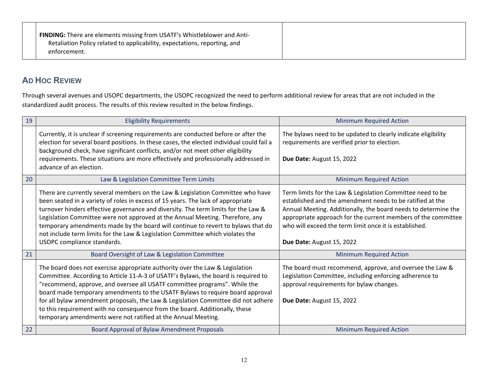| FINDING: There are elements missing from USATF's Whistleblower and Anti-  |
|---------------------------------------------------------------------------|
| Retaliation Policy related to applicability, expectations, reporting, and |
| enforcement.                                                              |
|                                                                           |

# **AD HOC REVIEW**

Through several avenues and USOPC departments, the USOPC recognized the need to perform additional review for areas that are not included in the standardized audit process. The results of this review resulted in the below findings.

| 19 | <b>Eligibility Requirements</b>                                                                                                                                                                                                                                                                                                                                                                                                                                                                                                                                       | <b>Minimum Required Action</b>                                                                                                                                                                                                                                                                                                                    |
|----|-----------------------------------------------------------------------------------------------------------------------------------------------------------------------------------------------------------------------------------------------------------------------------------------------------------------------------------------------------------------------------------------------------------------------------------------------------------------------------------------------------------------------------------------------------------------------|---------------------------------------------------------------------------------------------------------------------------------------------------------------------------------------------------------------------------------------------------------------------------------------------------------------------------------------------------|
|    | Currently, it is unclear if screening requirements are conducted before or after the<br>election for several board positions. In these cases, the elected individual could fail a<br>background check, have significant conflicts, and/or not meet other eligibility<br>requirements. These situations are more effectively and professionally addressed in<br>advance of an election.                                                                                                                                                                                | The bylaws need to be updated to clearly indicate eligibility<br>requirements are verified prior to election.<br>Due Date: August 15, 2022                                                                                                                                                                                                        |
| 20 | Law & Legislation Committee Term Limits                                                                                                                                                                                                                                                                                                                                                                                                                                                                                                                               | <b>Minimum Required Action</b>                                                                                                                                                                                                                                                                                                                    |
|    | There are currently several members on the Law & Legislation Committee who have<br>been seated in a variety of roles in excess of 15 years. The lack of appropriate<br>turnover hinders effective governance and diversity. The term limits for the Law &<br>Legislation Committee were not approved at the Annual Meeting. Therefore, any<br>temporary amendments made by the board will continue to revert to bylaws that do<br>not include term limits for the Law & Legislation Committee which violates the<br>USOPC compliance standards.                       | Term limits for the Law & Legislation Committee need to be<br>established and the amendment needs to be ratified at the<br>Annual Meeting. Additionally, the board needs to determine the<br>appropriate approach for the current members of the committee<br>who will exceed the term limit once it is established.<br>Due Date: August 15, 2022 |
| 21 | Board Oversight of Law & Legislation Committee                                                                                                                                                                                                                                                                                                                                                                                                                                                                                                                        | <b>Minimum Required Action</b>                                                                                                                                                                                                                                                                                                                    |
|    | The board does not exercise appropriate authority over the Law & Legislation<br>Committee. According to Article 11-A-3 of USATF's Bylaws, the board is required to<br>"recommend, approve, and oversee all USATF committee programs". While the<br>board made temporary amendments to the USATF Bylaws to require board approval<br>for all bylaw amendment proposals, the Law & Legislation Committee did not adhere<br>to this requirement with no consequence from the board. Additionally, these<br>temporary amendments were not ratified at the Annual Meeting. | The board must recommend, approve, and oversee the Law &<br>Legislation Committee, including enforcing adherence to<br>approval requirements for bylaw changes.<br>Due Date: August 15, 2022                                                                                                                                                      |
| 22 | Board Approval of Bylaw Amendment Proposals                                                                                                                                                                                                                                                                                                                                                                                                                                                                                                                           | <b>Minimum Required Action</b>                                                                                                                                                                                                                                                                                                                    |